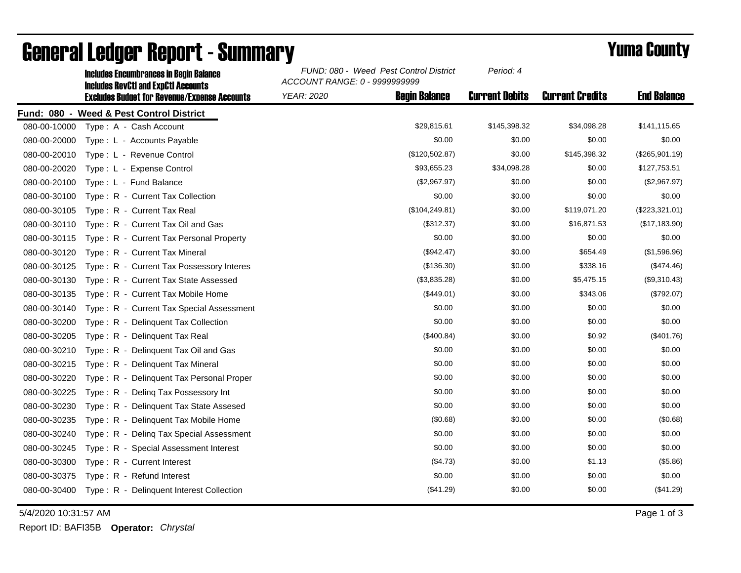|              | <b>Includes Encumbrances in Begin Balance</b><br><b>Includes RevCtI and ExpCtI Accounts</b><br><b>Excludes Budget for Revenue/Expense Accounts</b> | FUND: 080 - Weed Pest Control District<br>ACCOUNT RANGE: 0 - 9999999999 |                      | Period: 4             |                        |                    |
|--------------|----------------------------------------------------------------------------------------------------------------------------------------------------|-------------------------------------------------------------------------|----------------------|-----------------------|------------------------|--------------------|
|              |                                                                                                                                                    | <b>YEAR: 2020</b>                                                       | <b>Beain Balance</b> | <b>Current Debits</b> | <b>Current Credits</b> | <b>End Balance</b> |
|              | Fund: 080 - Weed & Pest Control District                                                                                                           |                                                                         |                      |                       |                        |                    |
| 080-00-10000 | Type: A - Cash Account                                                                                                                             |                                                                         | \$29,815.61          | \$145,398.32          | \$34,098.28            | \$141,115.65       |
| 080-00-20000 | Type: L - Accounts Payable                                                                                                                         |                                                                         | \$0.00               | \$0.00                | \$0.00                 | \$0.00             |
| 080-00-20010 | Type: L - Revenue Control                                                                                                                          |                                                                         | (\$120,502.87)       | \$0.00                | \$145,398.32           | (\$265,901.19)     |
| 080-00-20020 | Type: L - Expense Control                                                                                                                          |                                                                         | \$93,655.23          | \$34,098.28           | \$0.00                 | \$127,753.51       |
| 080-00-20100 | Type: L - Fund Balance                                                                                                                             |                                                                         | (\$2,967.97)         | \$0.00                | \$0.00                 | (\$2,967.97)       |
| 080-00-30100 | Type: R - Current Tax Collection                                                                                                                   |                                                                         | \$0.00               | \$0.00                | \$0.00                 | \$0.00             |
| 080-00-30105 | Type: R - Current Tax Real                                                                                                                         |                                                                         | (\$104, 249.81)      | \$0.00                | \$119,071.20           | (\$223,321.01)     |
| 080-00-30110 | Type: R - Current Tax Oil and Gas                                                                                                                  |                                                                         | (\$312.37)           | \$0.00                | \$16,871.53            | (\$17,183.90)      |
| 080-00-30115 | Type: R - Current Tax Personal Property                                                                                                            |                                                                         | \$0.00               | \$0.00                | \$0.00                 | \$0.00             |
| 080-00-30120 | Type: R - Current Tax Mineral                                                                                                                      |                                                                         | (\$942.47)           | \$0.00                | \$654.49               | (\$1,596.96)       |
| 080-00-30125 | Type: R - Current Tax Possessory Interes                                                                                                           |                                                                         | (\$136.30)           | \$0.00                | \$338.16               | (\$474.46)         |
| 080-00-30130 | Type: R - Current Tax State Assessed                                                                                                               |                                                                         | (\$3,835.28)         | \$0.00                | \$5,475.15             | (\$9,310.43)       |
| 080-00-30135 | Type: R - Current Tax Mobile Home                                                                                                                  |                                                                         | (\$449.01)           | \$0.00                | \$343.06               | (\$792.07)         |
| 080-00-30140 | Type: R - Current Tax Special Assessment                                                                                                           |                                                                         | \$0.00               | \$0.00                | \$0.00                 | \$0.00             |
| 080-00-30200 | Type: R - Delinquent Tax Collection                                                                                                                |                                                                         | \$0.00               | \$0.00                | \$0.00                 | \$0.00             |
| 080-00-30205 | Type: R - Delinquent Tax Real                                                                                                                      |                                                                         | (\$400.84)           | \$0.00                | \$0.92                 | (\$401.76)         |
| 080-00-30210 | Type: R - Delinquent Tax Oil and Gas                                                                                                               |                                                                         | \$0.00               | \$0.00                | \$0.00                 | \$0.00             |
| 080-00-30215 | Type: R - Delinquent Tax Mineral                                                                                                                   |                                                                         | \$0.00               | \$0.00                | \$0.00                 | \$0.00             |
| 080-00-30220 | Type: R - Delinquent Tax Personal Proper                                                                                                           |                                                                         | \$0.00               | \$0.00                | \$0.00                 | \$0.00             |
| 080-00-30225 | Type: R - Deling Tax Possessory Int                                                                                                                |                                                                         | \$0.00               | \$0.00                | \$0.00                 | \$0.00             |
| 080-00-30230 | Type: R - Delinguent Tax State Assesed                                                                                                             |                                                                         | \$0.00               | \$0.00                | \$0.00                 | \$0.00             |
| 080-00-30235 | Type: R - Delinquent Tax Mobile Home                                                                                                               |                                                                         | (\$0.68)             | \$0.00                | \$0.00                 | (\$0.68)           |
| 080-00-30240 | Type: R - Deling Tax Special Assessment                                                                                                            |                                                                         | \$0.00               | \$0.00                | \$0.00                 | \$0.00             |
| 080-00-30245 | Type: R - Special Assessment Interest                                                                                                              |                                                                         | \$0.00               | \$0.00                | \$0.00                 | \$0.00             |
| 080-00-30300 | Type: R - Current Interest                                                                                                                         |                                                                         | (\$4.73)             | \$0.00                | \$1.13                 | (\$5.86)           |
| 080-00-30375 | Type: R - Refund Interest                                                                                                                          |                                                                         | \$0.00               | \$0.00                | \$0.00                 | \$0.00             |
| 080-00-30400 | Type: R - Delinquent Interest Collection                                                                                                           |                                                                         | (\$41.29)            | \$0.00                | \$0.00                 | (\$41.29)          |

## General Ledger Report - Summary **Example 2018** Yuma County

5/4/2020 10:31:57 AM Page 1 of 3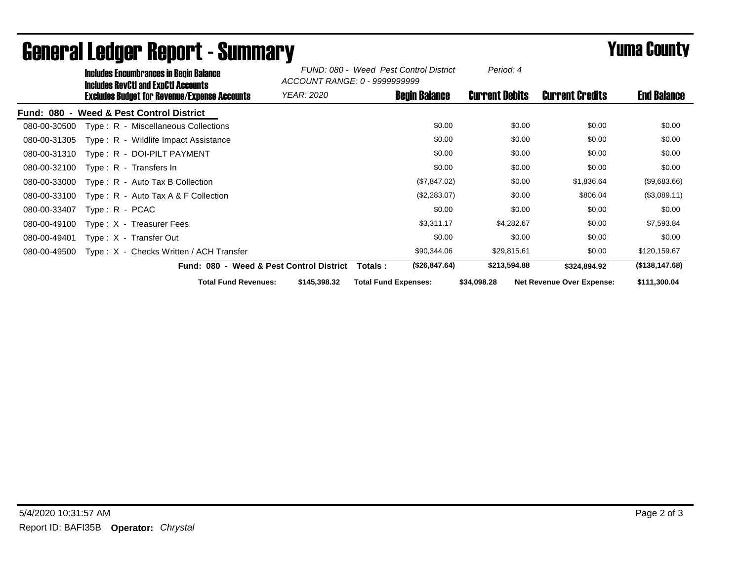|              | Includes Encumbrances in Begin Balance<br>Includes RevCtI and ExpCtI Accounts<br>Excludes Budget for Revenue/Expense Accounts |                                          | FUND: 080 - Weed Pest Control District<br>ACCOUNT RANGE: 0 - 9999999999 |                             |                        |                                  |                 |
|--------------|-------------------------------------------------------------------------------------------------------------------------------|------------------------------------------|-------------------------------------------------------------------------|-----------------------------|------------------------|----------------------------------|-----------------|
|              |                                                                                                                               | <i>YEAR: 2020</i>                        | <b>Begin Balance</b>                                                    | <b>Current Debits</b>       | <b>Current Credits</b> | <b>End Balance</b>               |                 |
|              |                                                                                                                               | Fund: 080 - Weed & Pest Control District |                                                                         |                             |                        |                                  |                 |
| 080-00-30500 |                                                                                                                               | Type: R - Miscellaneous Collections      |                                                                         | \$0.00                      | \$0.00                 | \$0.00                           | \$0.00          |
| 080-00-31305 |                                                                                                                               | Type: R - Wildlife Impact Assistance     |                                                                         | \$0.00                      | \$0.00                 | \$0.00                           | \$0.00          |
| 080-00-31310 |                                                                                                                               | Type: R - DOI-PILT PAYMENT               |                                                                         | \$0.00                      | \$0.00                 | \$0.00                           | \$0.00          |
| 080-00-32100 |                                                                                                                               | Type: $R -$ Transfers In                 |                                                                         | \$0.00                      | \$0.00                 | \$0.00                           | \$0.00          |
| 080-00-33000 |                                                                                                                               | Type: R - Auto Tax B Collection          |                                                                         | (\$7,847.02)                | \$0.00                 | \$1,836.64                       | (\$9,683.66)    |
| 080-00-33100 |                                                                                                                               | Type: $R -$ Auto Tax A & F Collection    |                                                                         | (\$2,283.07)                | \$0.00                 | \$806.04                         | (\$3,089.11)    |
| 080-00-33407 | Type: R - PCAC                                                                                                                |                                          |                                                                         | \$0.00                      | \$0.00                 | \$0.00                           | \$0.00          |
| 080-00-49100 |                                                                                                                               | Type $: X - T$ reasurer Fees             |                                                                         | \$3,311.17                  | \$4,282.67             | \$0.00                           | \$7,593.84      |
| 080-00-49401 |                                                                                                                               | Type: X - Transfer Out                   |                                                                         | \$0.00                      | \$0.00                 | \$0.00                           | \$0.00          |
| 080-00-49500 |                                                                                                                               | Type: X - Checks Written / ACH Transfer  |                                                                         | \$90,344.06                 | \$29,815.61            | \$0.00                           | \$120,159.67    |
|              |                                                                                                                               |                                          | Fund: 080 - Weed & Pest Control District                                | (\$26,847.64)<br>Totals :   | \$213,594.88           | \$324,894.92                     | (\$138, 147.68) |
|              |                                                                                                                               | <b>Total Fund Revenues:</b>              | \$145,398.32                                                            | <b>Total Fund Expenses:</b> | \$34,098.28            | <b>Net Revenue Over Expense:</b> | \$111,300.04    |

## General Ledger Report - Summary **Example 2018** Yuma County